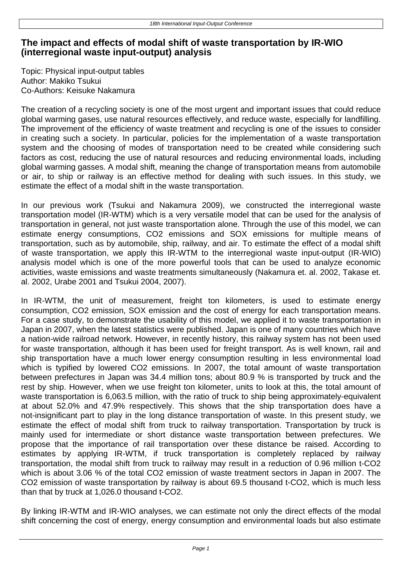## **The impact and effects of modal shift of waste transportation by IR-WIO (interregional waste input-output) analysis**

Topic: Physical input-output tables Author: Makiko Tsukui Co-Authors: Keisuke Nakamura

The creation of a recycling society is one of the most urgent and important issues that could reduce global warming gases, use natural resources effectively, and reduce waste, especially for landfilling. The improvement of the efficiency of waste treatment and recycling is one of the issues to consider in creating such a society. In particular, policies for the implementation of a waste transportation system and the choosing of modes of transportation need to be created while considering such factors as cost, reducing the use of natural resources and reducing environmental loads, including global warming gasses. A modal shift, meaning the change of transportation means from automobile or air, to ship or railway is an effective method for dealing with such issues. In this study, we estimate the effect of a modal shift in the waste transportation.

In our previous work (Tsukui and Nakamura 2009), we constructed the interregional waste transportation model (IR-WTM) which is a very versatile model that can be used for the analysis of transportation in general, not just waste transportation alone. Through the use of this model, we can estimate energy consumptions, CO2 emissions and SOX emissions for multiple means of transportation, such as by automobile, ship, railway, and air. To estimate the effect of a modal shift of waste transportation, we apply this IR-WTM to the interregional waste input-output (IR-WIO) analysis model which is one of the more powerful tools that can be used to analyze economic activities, waste emissions and waste treatments simultaneously (Nakamura et. al. 2002, Takase et. al. 2002, Urabe 2001 and Tsukui 2004, 2007).

In IR-WTM, the unit of measurement, freight ton kilometers, is used to estimate energy consumption, CO2 emission, SOX emission and the cost of energy for each transportation means. For a case study, to demonstrate the usability of this model, we applied it to waste transportation in Japan in 2007, when the latest statistics were published. Japan is one of many countries which have a nation-wide railroad network. However, in recently history, this railway system has not been used for waste transportation, although it has been used for freight transport. As is well known, rail and ship transportation have a much lower energy consumption resulting in less environmental load which is typified by lowered CO2 emissions. In 2007, the total amount of waste transportation between prefectures in Japan was 34.4 million tons; about 80.9 % is transported by truck and the rest by ship. However, when we use freight ton kilometer, units to look at this, the total amount of waste transportation is 6,063.5 million, with the ratio of truck to ship being approximately-equivalent at about 52.0% and 47.9% respectively. This shows that the ship transportation does have a not-insignificant part to play in the long distance transportation of waste. In this present study, we estimate the effect of modal shift from truck to railway transportation. Transportation by truck is mainly used for intermediate or short distance waste transportation between prefectures. We propose that the importance of rail transportation over these distance be raised. According to estimates by applying IR-WTM, if truck transportation is completely replaced by railway transportation, the modal shift from truck to railway may result in a reduction of 0.96 million t-CO2 which is about 3.06 % of the total CO2 emission of waste treatment sectors in Japan in 2007. The CO2 emission of waste transportation by railway is about 69.5 thousand t-CO2, which is much less than that by truck at 1,026.0 thousand t-CO2.

By linking IR-WTM and IR-WIO analyses, we can estimate not only the direct effects of the modal shift concerning the cost of energy, energy consumption and environmental loads but also estimate